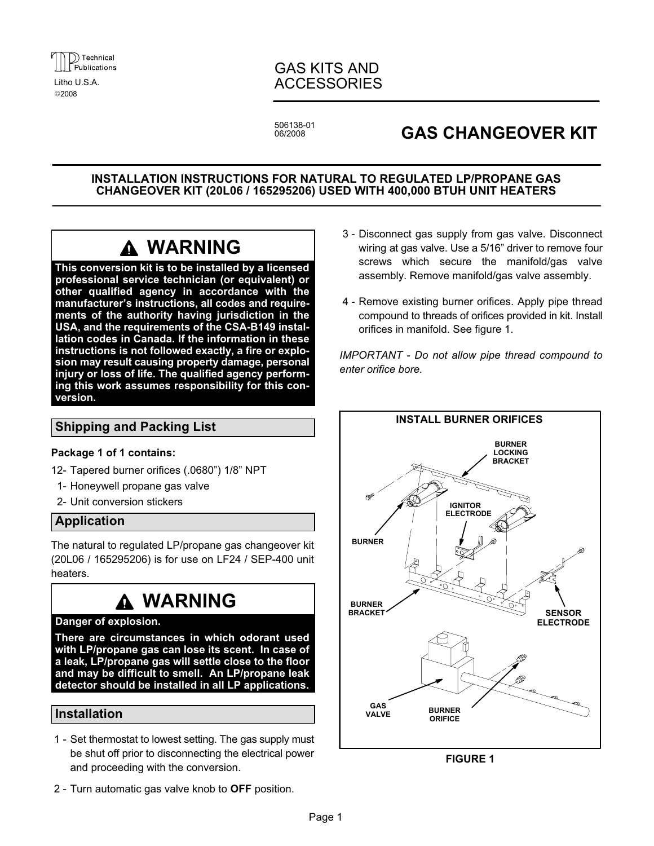

2008

### GAS KITS AND Litho U.S.A. **ACCESSORIES**

506138−01 06/2008

## GAS CHANGEOVER KIT

INSTALLATION INSTRUCTIONS FOR NATURAL TO REGULATED LP/PROPANE GAS CHANGEOVER KIT (20L06 / 165295206) USED WITH 400,000 BTUH UNIT HEATERS

# WARNING

This conversion kit is to be installed by a licensed professional service technician (or equivalent) or other qualified agency in accordance with the manufacturer's instructions, all codes and requirements of the authority having jurisdiction in the USA, and the requirements of the CSA−B149 installation codes in Canada. If the information in these instructions is not followed exactly, a fire or explosion may result causing property damage, personal injury or loss of life. The qualified agency performing this work assumes responsibility for this conversion.

#### Shipping and Packing List

#### Package 1 of 1 contains:

- 12− Tapered burner orifices (.0680") 1/8" NPT
- 1− Honeywell propane gas valve
- 2− Unit conversion stickers

#### Application

The natural to regulated LP/propane gas changeover kit (20L06 / 165295206) is for use on LF24 / SEP−400 unit heaters.

# **A WARNING**

#### Danger of explosion.

There are circumstances in which odorant used with LP/propane gas can lose its scent. In case of a leak, LP/propane gas will settle close to the floor and may be difficult to smell. An LP/propane leak detector should be installed in all LP applications.

#### Installation

- 1 Set thermostat to lowest setting. The gas supply must be shut off prior to disconnecting the electrical power and proceeding with the conversion.
- 2 Turn automatic gas valve knob to OFF position.
- 3 − Disconnect gas supply from gas valve. Disconnect wiring at gas valve. Use a 5/16" driver to remove four screws which secure the manifold/gas valve assembly. Remove manifold/gas valve assembly.
- 4 − Remove existing burner orifices. Apply pipe thread compound to threads of orifices provided in kit. Install orifices in manifold. See figure 1.

IMPORTANT − Do not allow pipe thread compound to enter orifice bore.



FIGURE 1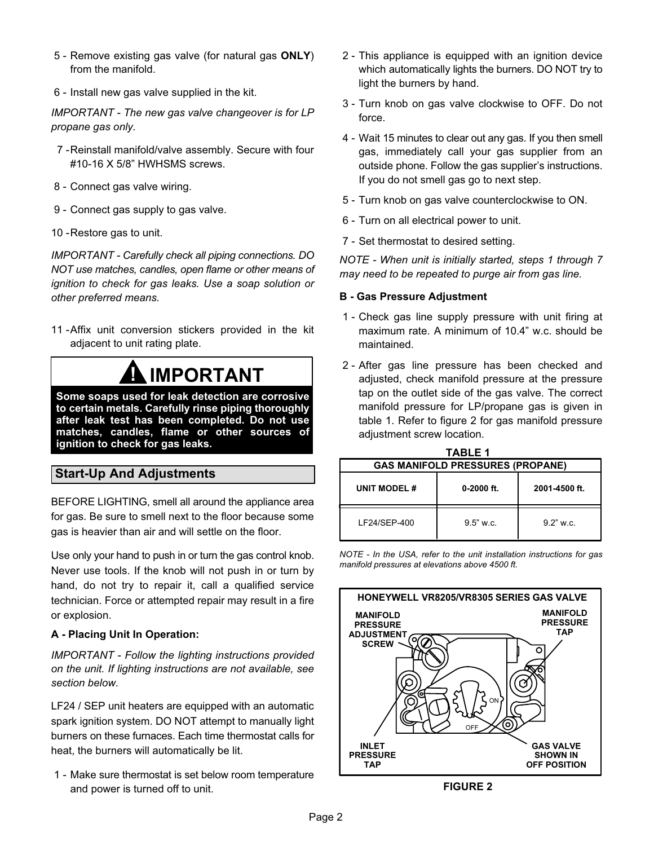- 5 Remove existing gas valve (for natural gas ONLY) from the manifold.
- 6 − Install new gas valve supplied in the kit.

IMPORTANT − The new gas valve changeover is for LP propane gas only.

- 7 −Reinstall manifold/valve assembly. Secure with four #10−16 X 5/8" HWHSMS screws.
- 8 Connect gas valve wiring.
- 9 Connect gas supply to gas valve.
- 10 −Restore gas to unit.

IMPORTANT − Carefully check all piping connections. DO NOT use matches, candles, open flame or other means of ignition to check for gas leaks. Use a soap solution or other preferred means.

11 - Affix unit conversion stickers provided in the kit adjacent to unit rating plate.

# **IMPORTANT**

Some soaps used for leak detection are corrosive to certain metals. Carefully rinse piping thoroughly after leak test has been completed. Do not use matches, candles, flame or other sources of ignition to check for gas leaks.

### Start−Up And Adjustments

BEFORE LIGHTING, smell all around the appliance area for gas. Be sure to smell next to the floor because some gas is heavier than air and will settle on the floor.

Use only your hand to push in or turn the gas control knob. Never use tools. If the knob will not push in or turn by hand, do not try to repair it, call a qualified service technician. Force or attempted repair may result in a fire or explosion.

#### A − Placing Unit In Operation:

IMPORTANT − Follow the lighting instructions provided on the unit. If lighting instructions are not available, see section below.

LF24 / SEP unit heaters are equipped with an automatic spark ignition system. DO NOT attempt to manually light burners on these furnaces. Each time thermostat calls for heat, the burners will automatically be lit.

 1 − Make sure thermostat is set below room temperature and power is turned off to unit.

- 2 This appliance is equipped with an ignition device which automatically lights the burners. DO NOT try to light the burners by hand.
- 3 − Turn knob on gas valve clockwise to OFF. Do not force.
- 4 − Wait 15 minutes to clear out any gas. If you then smell gas, immediately call your gas supplier from an outside phone. Follow the gas supplier's instructions. If you do not smell gas go to next step.
- 5 Turn knob on gas valve counterclockwise to ON.
- 6 − Turn on all electrical power to unit.
- 7 Set thermostat to desired setting.

NOTE − When unit is initially started, steps 1 through 7 may need to be repeated to purge air from gas line.

#### B − Gas Pressure Adjustment

- 1 Check gas line supply pressure with unit firing at maximum rate. A minimum of 10.4" w.c. should be maintained.
- 2 − After gas line pressure has been checked and adjusted, check manifold pressure at the pressure tap on the outlet side of the gas valve. The correct manifold pressure for LP/propane gas is given in table 1. Refer to figure 2 for gas manifold pressure adiustment screw location.

| <b>TABLE 1</b>                          |              |               |
|-----------------------------------------|--------------|---------------|
| <b>GAS MANIFOLD PRESSURES (PROPANE)</b> |              |               |
| UNIT MODEL #                            | $0-2000$ ft. | 2001-4500 ft. |
| LE24/SEP-400                            | $9.5"$ w.c.  | $9.2"$ w.c.   |

NOTE − In the USA, refer to the unit installation instructions for gas manifold pressures at elevations above 4500 ft.